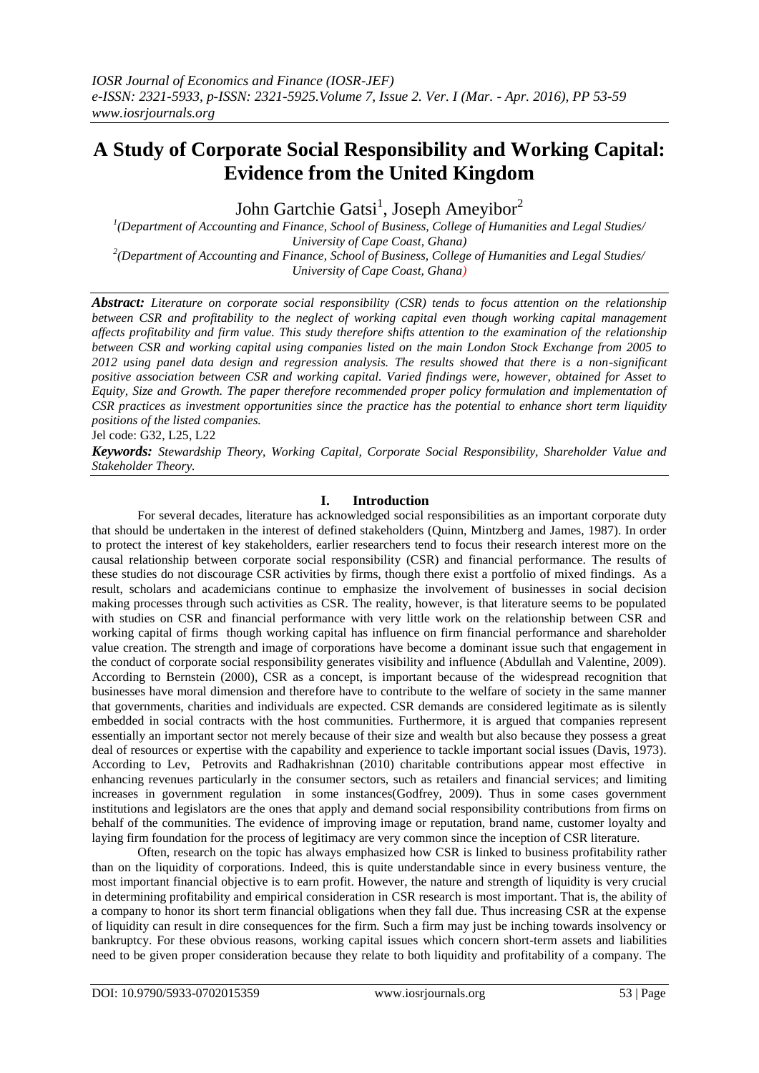# **A Study of Corporate Social Responsibility and Working Capital: Evidence from the United Kingdom**

John Gartchie Gatsi<sup>1</sup>, Joseph Ameyibor<sup>2</sup>

*1 (Department of Accounting and Finance, School of Business, College of Humanities and Legal Studies/ University of Cape Coast, Ghana) 2 (Department of Accounting and Finance, School of Business, College of Humanities and Legal Studies/ University of Cape Coast, Ghana)*

*Abstract: Literature on corporate social responsibility (CSR) tends to focus attention on the relationship between CSR and profitability to the neglect of working capital even though working capital management affects profitability and firm value. This study therefore shifts attention to the examination of the relationship between CSR and working capital using companies listed on the main London Stock Exchange from 2005 to 2012 using panel data design and regression analysis. The results showed that there is a non-significant positive association between CSR and working capital. Varied findings were, however, obtained for Asset to Equity, Size and Growth. The paper therefore recommended proper policy formulation and implementation of CSR practices as investment opportunities since the practice has the potential to enhance short term liquidity positions of the listed companies.*

Jel code: G32, L25, L22

*Keywords: Stewardship Theory, Working Capital, Corporate Social Responsibility, Shareholder Value and Stakeholder Theory.*

# **I. Introduction**

For several decades, literature has acknowledged social responsibilities as an important corporate duty that should be undertaken in the interest of defined stakeholders (Quinn, Mintzberg and James, 1987). In order to protect the interest of key stakeholders, earlier researchers tend to focus their research interest more on the causal relationship between corporate social responsibility (CSR) and financial performance. The results of these studies do not discourage CSR activities by firms, though there exist a portfolio of mixed findings. As a result, scholars and academicians continue to emphasize the involvement of businesses in social decision making processes through such activities as CSR. The reality, however, is that literature seems to be populated with studies on CSR and financial performance with very little work on the relationship between CSR and working capital of firms though working capital has influence on firm financial performance and shareholder value creation. The strength and image of corporations have become a dominant issue such that engagement in the conduct of corporate social responsibility generates visibility and influence (Abdullah and Valentine, 2009). According to Bernstein (2000), CSR as a concept, is important because of the widespread recognition that businesses have moral dimension and therefore have to contribute to the welfare of society in the same manner that governments, charities and individuals are expected. CSR demands are considered legitimate as is silently embedded in social contracts with the host communities. Furthermore, it is argued that companies represent essentially an important sector not merely because of their size and wealth but also because they possess a great deal of resources or expertise with the capability and experience to tackle important social issues (Davis, 1973). According to Lev, Petrovits and Radhakrishnan (2010) charitable contributions appear most effective in enhancing revenues particularly in the consumer sectors, such as retailers and financial services; and limiting increases in government regulation in some instances(Godfrey, 2009). Thus in some cases government institutions and legislators are the ones that apply and demand social responsibility contributions from firms on behalf of the communities. The evidence of improving image or reputation, brand name, customer loyalty and laying firm foundation for the process of legitimacy are very common since the inception of CSR literature.

Often, research on the topic has always emphasized how CSR is linked to business profitability rather than on the liquidity of corporations. Indeed, this is quite understandable since in every business venture, the most important financial objective is to earn profit. However, the nature and strength of liquidity is very crucial in determining profitability and empirical consideration in CSR research is most important. That is, the ability of a company to honor its short term financial obligations when they fall due. Thus increasing CSR at the expense of liquidity can result in dire consequences for the firm. Such a firm may just be inching towards insolvency or bankruptcy. For these obvious reasons, working capital issues which concern short-term assets and liabilities need to be given proper consideration because they relate to both liquidity and profitability of a company. The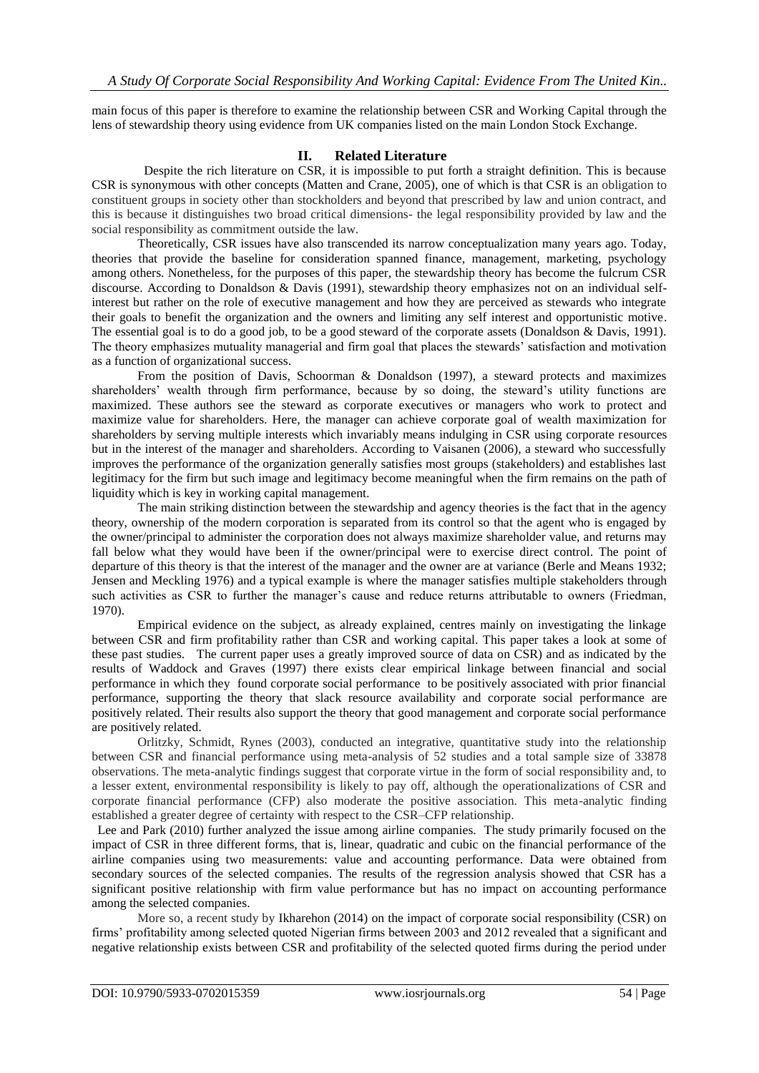main focus of this paper is therefore to examine the relationship between CSR and Working Capital through the lens of stewardship theory using evidence from UK companies listed on the main London Stock Exchange.

## **II. Related Literature**

 Despite the rich literature on CSR, it is impossible to put forth a straight definition. This is because CSR is synonymous with other concepts (Matten and Crane, 2005), one of which is that CSR is an obligation to constituent groups in society other than stockholders and beyond that prescribed by law and union contract, and this is because it distinguishes two broad critical dimensions- the legal responsibility provided by law and the social responsibility as commitment outside the law.

Theoretically, CSR issues have also transcended its narrow conceptualization many years ago. Today, theories that provide the baseline for consideration spanned finance, management, marketing, psychology among others. Nonetheless, for the purposes of this paper, the stewardship theory has become the fulcrum CSR discourse. According to Donaldson & Davis (1991), stewardship theory emphasizes not on an individual selfinterest but rather on the role of executive management and how they are perceived as stewards who integrate their goals to benefit the organization and the owners and limiting any self interest and opportunistic motive. The essential goal is to do a good job, to be a good steward of the corporate assets (Donaldson & Davis, 1991). The theory emphasizes mutuality managerial and firm goal that places the stewards" satisfaction and motivation as a function of organizational success.

From the position of Davis, Schoorman & Donaldson (1997), a steward protects and maximizes shareholders" wealth through firm performance, because by so doing, the steward"s utility functions are maximized. These authors see the steward as corporate executives or managers who work to protect and maximize value for shareholders. Here, the manager can achieve corporate goal of wealth maximization for shareholders by serving multiple interests which invariably means indulging in CSR using corporate resources but in the interest of the manager and shareholders. According to Vaisanen (2006), a steward who successfully improves the performance of the organization generally satisfies most groups (stakeholders) and establishes last legitimacy for the firm but such image and legitimacy become meaningful when the firm remains on the path of liquidity which is key in working capital management.

The main striking distinction between the stewardship and agency theories is the fact that in the agency theory, ownership of the modern corporation is separated from its control so that the agent who is engaged by the owner/principal to administer the corporation does not always maximize shareholder value, and returns may fall below what they would have been if the owner/principal were to exercise direct control. The point of departure of this theory is that the interest of the manager and the owner are at variance (Berle and Means 1932; Jensen and Meckling 1976) and a typical example is where the manager satisfies multiple stakeholders through such activities as CSR to further the manager's cause and reduce returns attributable to owners (Friedman, 1970).

Empirical evidence on the subject, as already explained, centres mainly on investigating the linkage between CSR and firm profitability rather than CSR and working capital. This paper takes a look at some of these past studies. The current paper uses a greatly improved source of data on CSR) and as indicated by the results of Waddock and Graves (1997) there exists clear empirical linkage between financial and social performance in which they found corporate social performance to be positively associated with prior financial performance, supporting the theory that slack resource availability and corporate social performance are positively related. Their results also support the theory that good management and corporate social performance are positively related.

Orlitzky, Schmidt, Rynes (2003), conducted an integrative, quantitative study into the relationship between CSR and financial performance using meta-analysis of 52 studies and a total sample size of 33878 observations. The meta-analytic findings suggest that corporate virtue in the form of social responsibility and, to a lesser extent, environmental responsibility is likely to pay off, although the operationalizations of CSR and corporate financial performance (CFP) also moderate the positive association. This meta-analytic finding established a greater degree of certainty with respect to the CSR–CFP relationship.

 Lee and Park (2010) further analyzed the issue among airline companies. The study primarily focused on the impact of CSR in three different forms, that is, linear, quadratic and cubic on the financial performance of the airline companies using two measurements: value and accounting performance. Data were obtained from secondary sources of the selected companies. The results of the regression analysis showed that CSR has a significant positive relationship with firm value performance but has no impact on accounting performance among the selected companies.

More so, a recent study by Ikharehon (2014) on the impact of corporate social responsibility (CSR) on firms" profitability among selected quoted Nigerian firms between 2003 and 2012 revealed that a significant and negative relationship exists between CSR and profitability of the selected quoted firms during the period under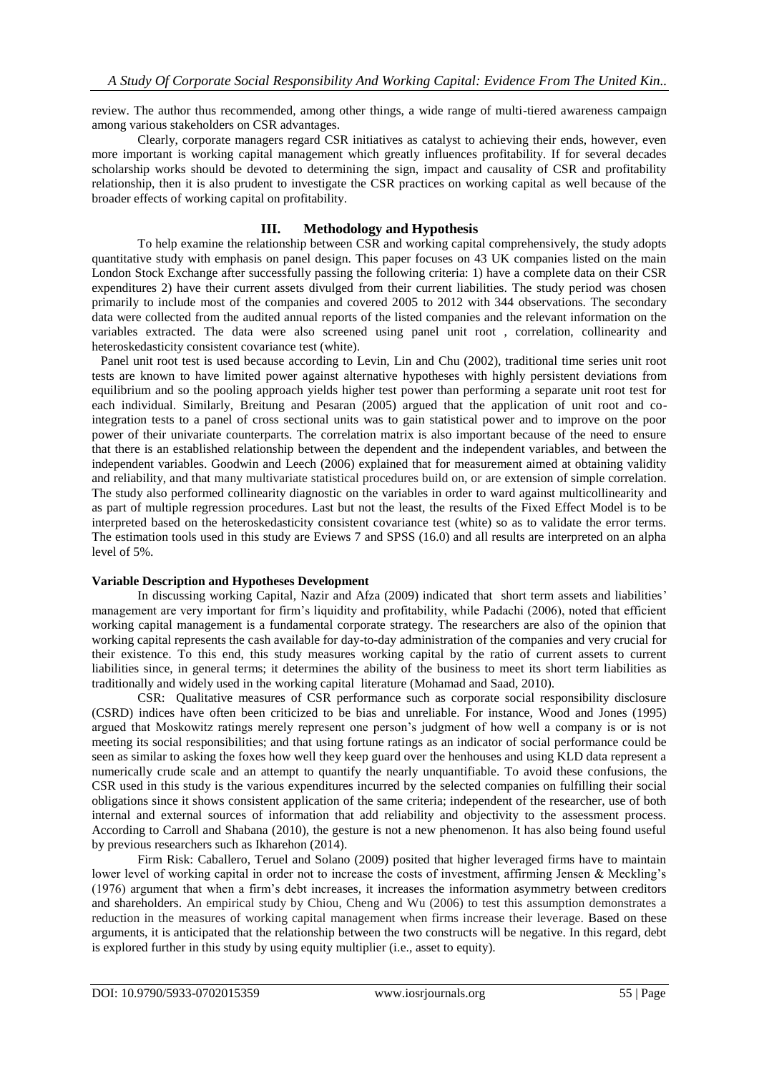review. The author thus recommended, among other things, a wide range of multi-tiered awareness campaign among various stakeholders on CSR advantages.

Clearly, corporate managers regard CSR initiatives as catalyst to achieving their ends, however, even more important is working capital management which greatly influences profitability. If for several decades scholarship works should be devoted to determining the sign, impact and causality of CSR and profitability relationship, then it is also prudent to investigate the CSR practices on working capital as well because of the broader effects of working capital on profitability.

## **III. Methodology and Hypothesis**

To help examine the relationship between CSR and working capital comprehensively, the study adopts quantitative study with emphasis on panel design. This paper focuses on 43 UK companies listed on the main London Stock Exchange after successfully passing the following criteria: 1) have a complete data on their CSR expenditures 2) have their current assets divulged from their current liabilities. The study period was chosen primarily to include most of the companies and covered 2005 to 2012 with 344 observations. The secondary data were collected from the audited annual reports of the listed companies and the relevant information on the variables extracted. The data were also screened using panel unit root , correlation, collinearity and heteroskedasticity consistent covariance test (white).

 Panel unit root test is used because according to Levin, Lin and Chu (2002), traditional time series unit root tests are known to have limited power against alternative hypotheses with highly persistent deviations from equilibrium and so the pooling approach yields higher test power than performing a separate unit root test for each individual. Similarly, Breitung and Pesaran (2005) argued that the application of unit root and cointegration tests to a panel of cross sectional units was to gain statistical power and to improve on the poor power of their univariate counterparts. The correlation matrix is also important because of the need to ensure that there is an established relationship between the dependent and the independent variables, and between the independent variables. Goodwin and Leech (2006) explained that for measurement aimed at obtaining validity and reliability, and that many multivariate statistical procedures build on, or are extension of simple correlation. The study also performed collinearity diagnostic on the variables in order to ward against multicollinearity and as part of multiple regression procedures. Last but not the least, the results of the Fixed Effect Model is to be interpreted based on the heteroskedasticity consistent covariance test (white) so as to validate the error terms. The estimation tools used in this study are Eviews 7 and SPSS (16.0) and all results are interpreted on an alpha level of 5%.

## **Variable Description and Hypotheses Development**

In discussing working Capital, Nazir and Afza (2009) indicated that short term assets and liabilities" management are very important for firm"s liquidity and profitability, while Padachi (2006), noted that efficient working capital management is a fundamental corporate strategy. The researchers are also of the opinion that working capital represents the cash available for day-to-day administration of the companies and very crucial for their existence. To this end, this study measures working capital by the ratio of current assets to current liabilities since, in general terms; it determines the ability of the business to meet its short term liabilities as traditionally and widely used in the working capital literature (Mohamad and Saad, 2010).

CSR: Qualitative measures of CSR performance such as corporate social responsibility disclosure (CSRD) indices have often been criticized to be bias and unreliable. For instance, Wood and Jones (1995) argued that Moskowitz ratings merely represent one person"s judgment of how well a company is or is not meeting its social responsibilities; and that using fortune ratings as an indicator of social performance could be seen as similar to asking the foxes how well they keep guard over the henhouses and using KLD data represent a numerically crude scale and an attempt to quantify the nearly unquantifiable. To avoid these confusions, the CSR used in this study is the various expenditures incurred by the selected companies on fulfilling their social obligations since it shows consistent application of the same criteria; independent of the researcher, use of both internal and external sources of information that add reliability and objectivity to the assessment process. According to Carroll and Shabana (2010), the gesture is not a new phenomenon. It has also being found useful by previous researchers such as Ikharehon (2014).

Firm Risk: Caballero, Teruel and Solano (2009) posited that higher leveraged firms have to maintain lower level of working capital in order not to increase the costs of investment, affirming Jensen & Meckling's (1976) argument that when a firm"s debt increases, it increases the information asymmetry between creditors and shareholders. An empirical study by Chiou, Cheng and Wu (2006) to test this assumption demonstrates a reduction in the measures of working capital management when firms increase their leverage. Based on these arguments, it is anticipated that the relationship between the two constructs will be negative. In this regard, debt is explored further in this study by using equity multiplier (i.e., asset to equity).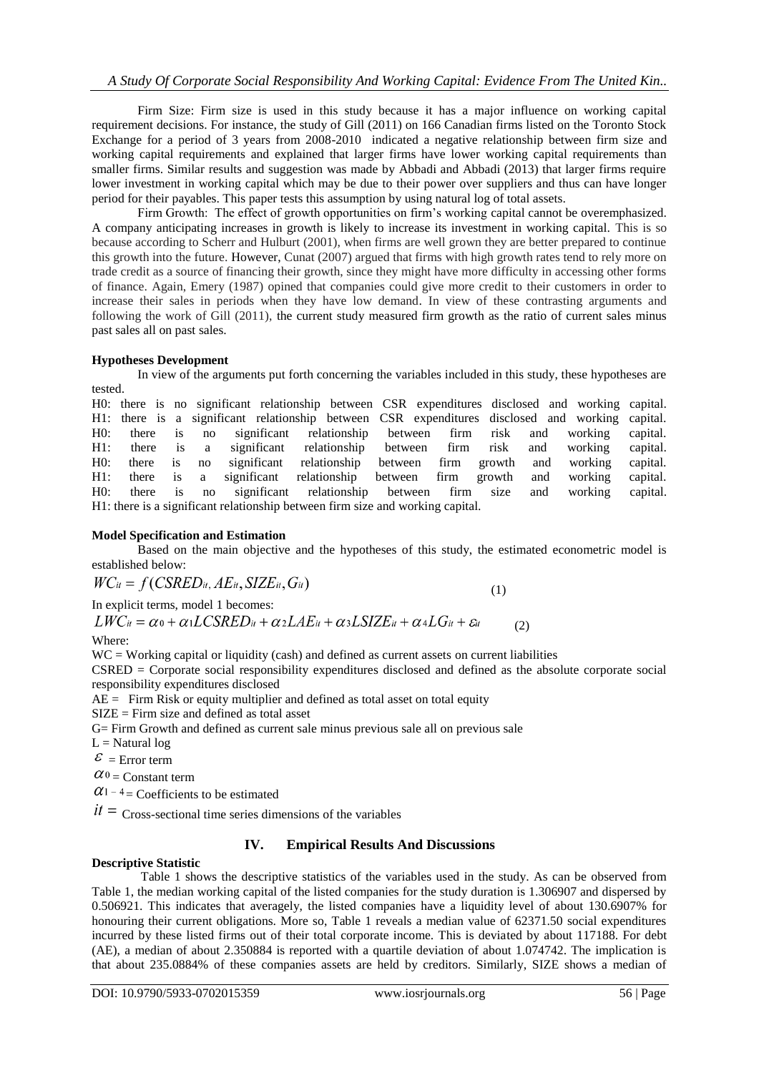Firm Size: Firm size is used in this study because it has a major influence on working capital requirement decisions. For instance, the study of Gill (2011) on 166 Canadian firms listed on the Toronto Stock Exchange for a period of 3 years from 2008-2010 indicated a negative relationship between firm size and working capital requirements and explained that larger firms have lower working capital requirements than smaller firms. Similar results and suggestion was made by Abbadi and Abbadi (2013) that larger firms require lower investment in working capital which may be due to their power over suppliers and thus can have longer period for their payables. This paper tests this assumption by using natural log of total assets.

Firm Growth: The effect of growth opportunities on firm"s working capital cannot be overemphasized. A company anticipating increases in growth is likely to increase its investment in working capital. This is so because according to Scherr and Hulburt (2001), when firms are well grown they are better prepared to continue this growth into the future. However, Cunat (2007) argued that firms with high growth rates tend to rely more on trade credit as a source of financing their growth, since they might have more difficulty in accessing other forms of finance. Again, Emery (1987) opined that companies could give more credit to their customers in order to increase their sales in periods when they have low demand. In view of these contrasting arguments and following the work of Gill (2011), the current study measured firm growth as the ratio of current sales minus past sales all on past sales.

## **Hypotheses Development**

In view of the arguments put forth concerning the variables included in this study, these hypotheses are tested.

H0: there is no significant relationship between CSR expenditures disclosed and working capital. H1: there is a significant relationship between CSR expenditures disclosed and working capital. H0: there is no significant relationship between firm risk and working capital. H1: there is a significant relationship between firm risk and working capital. H0: there is no significant relationship between firm growth and working capital. H1: there is a significant relationship between firm growth and working capital. H0: there is no significant relationship between firm size and working capital. H1: there is a significant relationship between firm size and working capital.

## **Model Specification and Estimation**

Based on the main objective and the hypotheses of this study, the estimated econometric model is established below:

 $WC_{it} = f(CSRED_{it}, AE_{it}, SIZE_{it}, G_{it})$ 

 (1) In explicit terms, model 1 becomes:

 $LWC_{it} = \alpha_0 + \alpha_1 LCSRED_{it} + \alpha_2 LAE_{it} + \alpha_3 LSIZE_{it} + \alpha_4 LG_{it} + \varepsilon_{it}$ 

Where:

WC = Working capital or liquidity (cash) and defined as current assets on current liabilities

CSRED = Corporate social responsibility expenditures disclosed and defined as the absolute corporate social responsibility expenditures disclosed

(2)

 $AE =$  Firm Risk or equity multiplier and defined as total asset on total equity

SIZE = Firm size and defined as total asset

G= Firm Growth and defined as current sale minus previous sale all on previous sale

 $L =$  Natural log

 $\mathcal{E}$  = Error term

 $\alpha_0$  = Constant term

 $\alpha$ <sup>1-4</sup> = Coefficients to be estimated

 $it =$  Cross-sectional time series dimensions of the variables

## **IV. Empirical Results And Discussions**

## **Descriptive Statistic**

Table 1 shows the descriptive statistics of the variables used in the study. As can be observed from Table 1, the median working capital of the listed companies for the study duration is 1.306907 and dispersed by 0.506921. This indicates that averagely, the listed companies have a liquidity level of about 130.6907% for honouring their current obligations. More so, Table 1 reveals a median value of 62371.50 social expenditures incurred by these listed firms out of their total corporate income. This is deviated by about 117188. For debt (AE), a median of about 2.350884 is reported with a quartile deviation of about 1.074742. The implication is that about 235.0884% of these companies assets are held by creditors. Similarly, SIZE shows a median of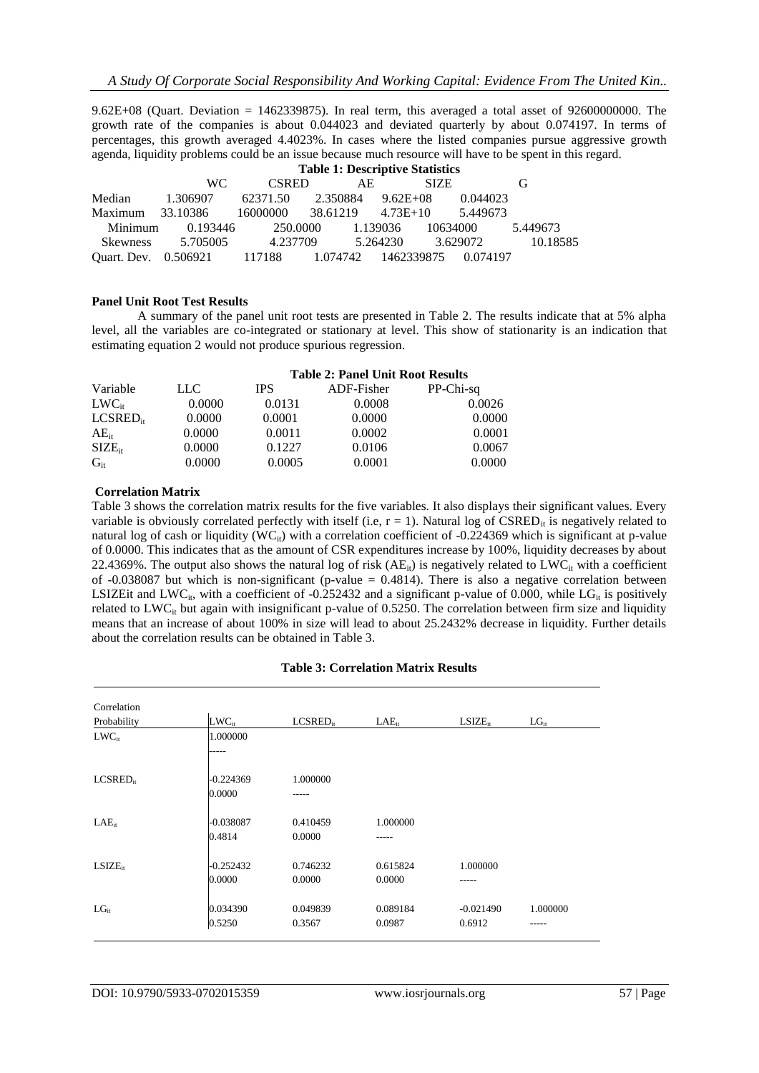9.62E+08 (Quart. Deviation = 1462339875). In real term, this averaged a total asset of 92600000000. The growth rate of the companies is about 0.044023 and deviated quarterly by about 0.074197. In terms of percentages, this growth averaged 4.4023%. In cases where the listed companies pursue aggressive growth agenda, liquidity problems could be an issue because much resource will have to be spent in this regard.

|                 | <b>Table 1: Descriptive Statistics</b> |              |          |              |          |          |
|-----------------|----------------------------------------|--------------|----------|--------------|----------|----------|
|                 | WC.                                    | <b>CSRED</b> | AE.      | <b>SIZE</b>  |          | G        |
| Median          | 1.306907                               | 62371.50     | 2.350884 | $9.62E + 08$ | 0.044023 |          |
| Maximum         | 33.10386                               | 16000000     | 38.61219 | $4.73E+10$   | 5.449673 |          |
| Minimum         | 0.193446                               | 250.0000     |          | 1.139036     | 10634000 | 5.449673 |
| <b>Skewness</b> | 5.705005                               | 4.237709     |          | 5.264230     | 3.629072 | 10.18585 |
|                 | Quart. Dev. 0.506921 117188 1.074742   |              |          | 1462339875   | 0.074197 |          |

## **Panel Unit Root Test Results**

A summary of the panel unit root tests are presented in Table 2. The results indicate that at 5% alpha level, all the variables are co-integrated or stationary at level. This show of stationarity is an indication that estimating equation 2 would not produce spurious regression.

|               |        |            | <b>Table 2: Panel Unit Root Results</b> |           |  |  |
|---------------|--------|------------|-----------------------------------------|-----------|--|--|
| Variable      | LLC    | <b>IPS</b> | ADF-Fisher                              | PP-Chi-sq |  |  |
| $LWC_{it}$    | 0.0000 | 0.0131     | 0.0008                                  | 0.0026    |  |  |
| $LCSRED_{it}$ | 0.0000 | 0.0001     | 0.0000                                  | 0.0000    |  |  |
| $AE_{it}$     | 0.0000 | 0.0011     | 0.0002                                  | 0.0001    |  |  |
| $SIZE_{it}$   | 0.0000 | 0.1227     | 0.0106                                  | 0.0067    |  |  |
| $G_{it}$      | 0.0000 | 0.0005     | 0.0001                                  | 0.0000    |  |  |

#### **Correlation Matrix**

Table 3 shows the correlation matrix results for the five variables. It also displays their significant values. Every variable is obviously correlated perfectly with itself (i.e,  $r = 1$ ). Natural log of CSRED<sub>it</sub> is negatively related to natural log of cash or liquidity (WC<sub>it</sub>) with a correlation coefficient of -0.224369 which is significant at p-value of 0.0000. This indicates that as the amount of CSR expenditures increase by 100%, liquidity decreases by about 22.4369%. The output also shows the natural log of risk  $(AE_{it})$  is negatively related to LWC<sub>it</sub> with a coefficient of -0.038087 but which is non-significant (p-value  $= 0.4814$ ). There is also a negative correlation between LSIZEit and LWC<sub>it</sub>, with a coefficient of -0.252432 and a significant p-value of 0.000, while LG<sub>it</sub> is positively related to  $LWC_{it}$  but again with insignificant p-value of 0.5250. The correlation between firm size and liquidity means that an increase of about 100% in size will lead to about 25.2432% decrease in liquidity. Further details about the correlation results can be obtained in Table 3.

## **Table 3: Correlation Matrix Results**

| Correlation          |             |               |            |              |           |
|----------------------|-------------|---------------|------------|--------------|-----------|
| Probability          | $LWC_{it}$  | $LCSRED_{it}$ | $LAE_{it}$ | $LSIZE_{it}$ | $LG_{it}$ |
| $LWC_{it}$           | 1.000000    |               |            |              |           |
|                      | -----       |               |            |              |           |
| LCSRED <sub>ir</sub> | $-0.224369$ | 1.000000      |            |              |           |
|                      | 0.0000      | -----         |            |              |           |
| $LAE_{it}$           | $-0.038087$ | 0.410459      | 1.000000   |              |           |
|                      | 0.4814      | 0.0000        | -----      |              |           |
| $LSIZE_{ir}$         | $-0.252432$ | 0.746232      | 0.615824   | 1.000000     |           |
|                      | 0.0000      | 0.0000        | 0.0000     |              |           |
| $LG_{it}$            | 0.034390    | 0.049839      | 0.089184   | $-0.021490$  | 1.000000  |
|                      | 0.5250      | 0.3567        | 0.0987     | 0.6912       | -----     |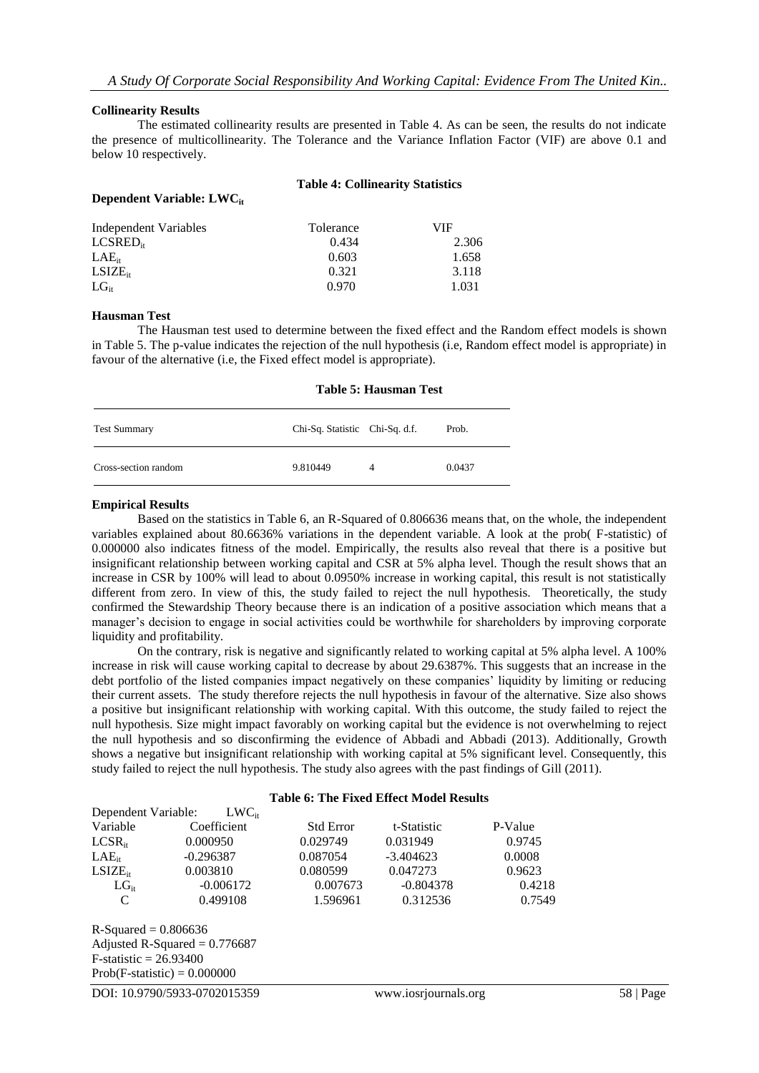#### **Collinearity Results**

The estimated collinearity results are presented in Table 4. As can be seen, the results do not indicate the presence of multicollinearity. The Tolerance and the Variance Inflation Factor (VIF) are above 0.1 and below 10 respectively.

| Dependent Variable: LWC | <b>Table 4: Collinearity Statistics</b> |       |  |  |
|-------------------------|-----------------------------------------|-------|--|--|
| Independent Variables   | Tolerance                               | VIF   |  |  |
| $LCSRED_{it}$           | 0.434                                   | 2.306 |  |  |
| $LAE_{it}$              | 0.603                                   | 1.658 |  |  |
| $LSIZE_{it}$            | 0.321                                   | 3.118 |  |  |
| $LG_{ir}$               | 0.970                                   | 1.031 |  |  |

#### **Hausman Test**

The Hausman test used to determine between the fixed effect and the Random effect models is shown in Table 5. The p-value indicates the rejection of the null hypothesis (i.e, Random effect model is appropriate) in favour of the alternative (i.e, the Fixed effect model is appropriate).

## **Table 5: Hausman Test**

| <b>Test Summary</b>  | Chi-Sq. Statistic Chi-Sq. d.f. |   | Prob.  |
|----------------------|--------------------------------|---|--------|
| Cross-section random | 9.810449                       | 4 | 0.0437 |

#### **Empirical Results**

Based on the statistics in Table 6, an R-Squared of 0.806636 means that, on the whole, the independent variables explained about 80.6636% variations in the dependent variable. A look at the prob( F-statistic) of 0.000000 also indicates fitness of the model. Empirically, the results also reveal that there is a positive but insignificant relationship between working capital and CSR at 5% alpha level. Though the result shows that an increase in CSR by 100% will lead to about 0.0950% increase in working capital, this result is not statistically different from zero. In view of this, the study failed to reject the null hypothesis. Theoretically, the study confirmed the Stewardship Theory because there is an indication of a positive association which means that a manager"s decision to engage in social activities could be worthwhile for shareholders by improving corporate liquidity and profitability.

On the contrary, risk is negative and significantly related to working capital at 5% alpha level. A 100% increase in risk will cause working capital to decrease by about 29.6387%. This suggests that an increase in the debt portfolio of the listed companies impact negatively on these companies' liquidity by limiting or reducing their current assets. The study therefore rejects the null hypothesis in favour of the alternative. Size also shows a positive but insignificant relationship with working capital. With this outcome, the study failed to reject the null hypothesis. Size might impact favorably on working capital but the evidence is not overwhelming to reject the null hypothesis and so disconfirming the evidence of Abbadi and Abbadi (2013). Additionally, Growth shows a negative but insignificant relationship with working capital at 5% significant level. Consequently, this study failed to reject the null hypothesis. The study also agrees with the past findings of Gill (2011).

#### **Table 6: The Fixed Effect Model Results**

| Dependent Variable: | $LWC_{it}$  |                  |             |         |
|---------------------|-------------|------------------|-------------|---------|
| Variable            | Coefficient | <b>Std Error</b> | t-Statistic | P-Value |
| $LCSR_{it}$         | 0.000950    | 0.029749         | 0.031949    | 0.9745  |
| $LAE_{ir}$          | $-0.296387$ | 0.087054         | $-3.404623$ | 0.0008  |
| $LSIZE_{it}$        | 0.003810    | 0.080599         | 0.047273    | 0.9623  |
| $LG_{ir}$           | $-0.006172$ | 0.007673         | $-0.804378$ | 0.4218  |
| C                   | 0.499108    | 1.596961         | 0.312536    | 0.7549  |
|                     |             |                  |             |         |

 $R-Squared = 0.806636$ Adjusted R-Squared  $= 0.776687$  $F-statistic = 26.93400$  $Prob(F-statistic) = 0.000000$ 

DOI: 10.9790/5933-0702015359 www.iosrjournals.org 58 | Page